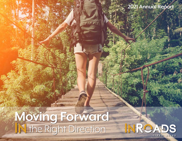# **2021 Annual Report**

# **Moving Forward** IN the Right Direction

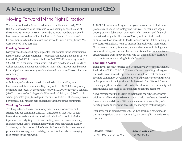# **A Message from the Chairman and CEO**

### Moving Forward **IN** the Right Direction

The pandemic has dominated headlines and our lives since early 2020. But 2021 showed everyone there was a clear, shining light at the end of the tunnel. At InRoads, we saw it every day as more members and small businesses came to the credit union looking for loans to buy cars and homes, money to build businesses, and advice to build a strong future. We were honored to be part of it.

#### **Funding Forward**

Last year was the second-highest year for loan volume in the credit union's history. That's saying something — especially amidst a pandemic. In all, we funded \$36,709,303 in commercial loans, \$41,037,338 in mortgages, and \$25,768,134 in consumer loans, which included auto loans, credit cards, as well as refinance and debt consolidation loans. The trust our members put in us helped spur economic growth at the credit union and beyond into the community.

#### **Giving Forward**

At InRoads, we've always been dedicated to helping families, local businesses, and the community. By giving back over \$145,000, we proudly continued that focus. Of those funds, nearly \$100,000 went to local schools, \$6,000 to non-profits during our holiday week of giving, and \$5,000 to high school graduates going to college in the fall. In addition, InRoads employees performed 1,829 random acts of kindness throughout the community.

### **Thinking Forward**

Teaching kids and teens about money sets them up for success and strengthens our community. In 2021, InRoads took that truth to heart by continuing to deliver financial education in local schools, including topics such as budgeting, credit, and making smart decisions for college. In addition, this year's Financial Reality Fairs were delivered to Rainier, St. Helens, and Scappoose high schools via Zoom, with fun costumes and personalities to engage and teach high school students about managing their money in the real world.

In 2021 InRoads also reimagined our youth accounts to include new products with added technology and features. For teens, we began offering custom debit cards, Cash Back Debit accounts and financial education through the Elements of Money website. Additionally, families now have access to InRoads Connect within Online Banking, a new feature that allows teens to interact financially with their parents. Teens can earn money for chores, grades, allowance or finishing their homework, along with a slew of other educational functionality. We're already hearing from happy parents who say their kids have learned a lot about finances since using InRoads Connect.

#### **Looking Forward**

InRoads was recently certified as a Community Development Financial Institution (CDFI). This U.S. Treasury Department designation gives the credit union access to apply for millions in funds that can be used to promote community development as well as generate economic growth and opportunity in regions that might be overlooked. We look forward to leveraging these funds in order to further develop our community and bring financial resources to our members and future members.

As we move forward in the right direction and the future grows ever brighter, it will continue to be our honor to help members achieve their financial goals and dreams. Whatever you want to accomplish, we're here to provide answers and access to the money to make it happen.

Thank you for an amazing year. 2021 will go down as a resurgence in the human spirit and what a community can accomplish when it works together.

#### **David Graham** Chair, Board of Directors

**Brooke Van Vleet** President/CEO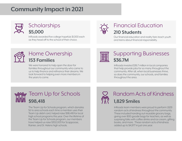# **Community Impact in 2021**



# **\$5,000**

InRoads awarded five college hopefuls \$1,000 each as they head off to the school of their choice.



## **210 Students** Scholarships  $\bigcirc$  Financial Education

Our financial education and reality fairs teach youth and teens about financial responsibility.



# **153 Families 153 Families**

We were honored to help open the door for families throughout our community who came to us to help finance and refinance their dreams. We look forward to helping even more members in the years to come.



# Home Ownership<br>
153 Families<br>
153 Families

InRoads invested \$36.7 million in local companies that help provide jobs for so many throughout the community. After all, when local businesses thrive, so does the community, our schools, and families throughout the area.



The Team Up for Schools program, which donates 5¢ to area schools each time a member uses their Team Up debit card, helped raise \$98,418 for local high school programs this year. Over the lifetime of the Team Up for Schools program, our members have helped us raise \$302,003 for Scappoose, Rainier, and St. Helens high schools.

# Random Acts of Kindness

InRoads team members were proud to perform 1,829 random acts of kindness throughout the community. These included handing out reusable grocery bags, giving over 800 goodie bags for teachers, as well as surprising folks with coffee drinks and ice cream, gifting books, and more. These random acts of kindness added up to \$4,977 in just one year.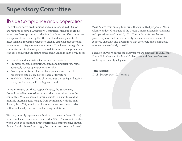# **Supervisory Committee**

### **IN**side Compliance and Cooperation

Federally chartered credit unions such as InRoads Credit Union are required to have a Supervisory Committee, made up of credit union members appointed by the Board of Directors. The committee is responsible for ensuring that the board and management: 1) meet financial reporting objectives, and; 2) establish practices and procedures to safeguard member's assets. To achieve these goals the committee meets at least quarterly to determine if management and staff are conducting the affairs of the credit union in such a way as to:

- Establish and maintain effective internal controls.
- Promptly prepare accounting records and financial reports to accurately reflect operations and results.
- Properly administer relevant plans, policies, and control procedures established by the Board of Directors.
- Establish policies and control procedures that safeguard against error, carelessness, self-dealing, and fraud.

In order to carry out these responsibilities, the Supervisory Committee relies on outside auditors that report directly to the committee. We also have an internal auditor on staff to conduct monthly internal audits ranging from compliance with the Bank Secrecy Act (BSA) to whether loans are being made in accordance with established procedures and lending limitations.

Written, monthly reports are submitted to the committee. No major non-compliance issues were identified in 2021. The committee also works with an accounting firm to perform a comprehensive annual financial audit. Several years ago, the committee chose the firm of

Moss Adams from among four firms that submitted proposals. Moss Adams conducted an audit of the Credit Union's financial statements and operations as of June 30, 2021. The audit performed led to a positive opinion and did not identify any major issues or areas of concern. The audit also determined that the credit union's financial statements were "fairly stated."

Based on our work during the past year we are confident that InRoads Credit Union has met its financial objectives and that member assets are being adequately safeguarded.

### **Tom Tussing**

Chair, Supervisory Committee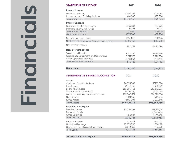| U<br>$\overline{\phantom{a}}$ |
|-------------------------------|
|                               |
|                               |
|                               |
|                               |
|                               |
|                               |

| <b>STATEMENT OF INCOME</b>                                                  | 2021                       | 2020                       |
|-----------------------------------------------------------------------------|----------------------------|----------------------------|
| <b>Interest Income</b>                                                      |                            |                            |
| Loans to Members                                                            | 10,072,782                 | 10,144,151                 |
| Investment and Cash Equivalents                                             | 614,086                    | 495,364                    |
| <b>Total Interest Income</b>                                                | 10,686,868                 | 10,639,515                 |
| <b>Interest Expense</b>                                                     |                            |                            |
| Dividends on Member Shares                                                  | 1,048,384                  | 1,335,211                  |
| Interest on Borrowed Funds                                                  | 63,196<br>1,111,580        | 92,518<br>1,427,729        |
| <b>Total Interest Expense</b><br>Net Interest Income                        | 9,575,288                  | 9,211,786                  |
|                                                                             |                            |                            |
| Provision for Loan Losses<br>Net Interest Income After Prov for Loan Losses | (912, 478)<br>10,487,766   | 1,312,186<br>7,899,600     |
|                                                                             |                            |                            |
| Non-Interest Income                                                         | 4,158,012                  | 4,443,094                  |
| <b>Non-Interest Expense</b>                                                 |                            |                            |
| Salaries and Benefits                                                       | 6,523,156                  | 5,968,886                  |
| Occupancy, Equipment and Operations                                         | 3,927,363                  | 3,226,554                  |
| <b>Other Operating Expenses</b>                                             | 1,950,664                  | 1,845,981                  |
| <b>Total Non-Interest Expense</b>                                           | 12,401,182                 | 11,041,421                 |
|                                                                             |                            |                            |
| <b>Net Income</b>                                                           | 2,244,596                  | 1,301,273                  |
|                                                                             |                            |                            |
| <b>STATEMENT OF FINANCIAL CONDITION</b>                                     | 2021                       | 2020                       |
| <b>Assets</b>                                                               |                            |                            |
|                                                                             |                            |                            |
|                                                                             |                            |                            |
| Cash and Cash Equivalents                                                   | 24,926,589                 | 37,792,524                 |
| Investments<br>Loans to Members                                             | 79,531,730                 | 41,580,479                 |
| Allowance for Loan Losses                                                   | 230,905,463<br>(1,097,106) | 216,870,033<br>(2,193,157) |
| Loans to Members, Net Allow. for Loan                                       | 229,808,357                | 214,676,876                |
| <b>Fixed Assets</b>                                                         | 5,341,968                  | 5,115,734                  |
| Other Assets                                                                | 10,001,094                 | 9,699,346                  |
| <b>Total Assets</b>                                                         | 349,609,738                | 308,864,959                |
| <b>Liabilities and Equity</b>                                               |                            |                            |
| <b>Member Shares</b>                                                        | 323,212,347                | 278,374,721                |
| <b>Borrowed Funds</b>                                                       |                            | 5,000,000                  |
| <b>Other Liabilities</b>                                                    | 1,919,836                  | 2,175,400                  |
| <b>Total Liabilities</b>                                                    | 325,132,183                | 285,550,121                |
| Regular Reserves                                                            | 4,157,102                  | 4,157,102                  |
| <b>Undivided Earnings</b>                                                   | 20,985,058                 | 18,741,178                 |
| Unrealized Gain/Loss on Investments                                         | (664, 606)                 | 416,558                    |
| <b>Total Equity</b>                                                         | 24,477,555                 | 23,314,838                 |